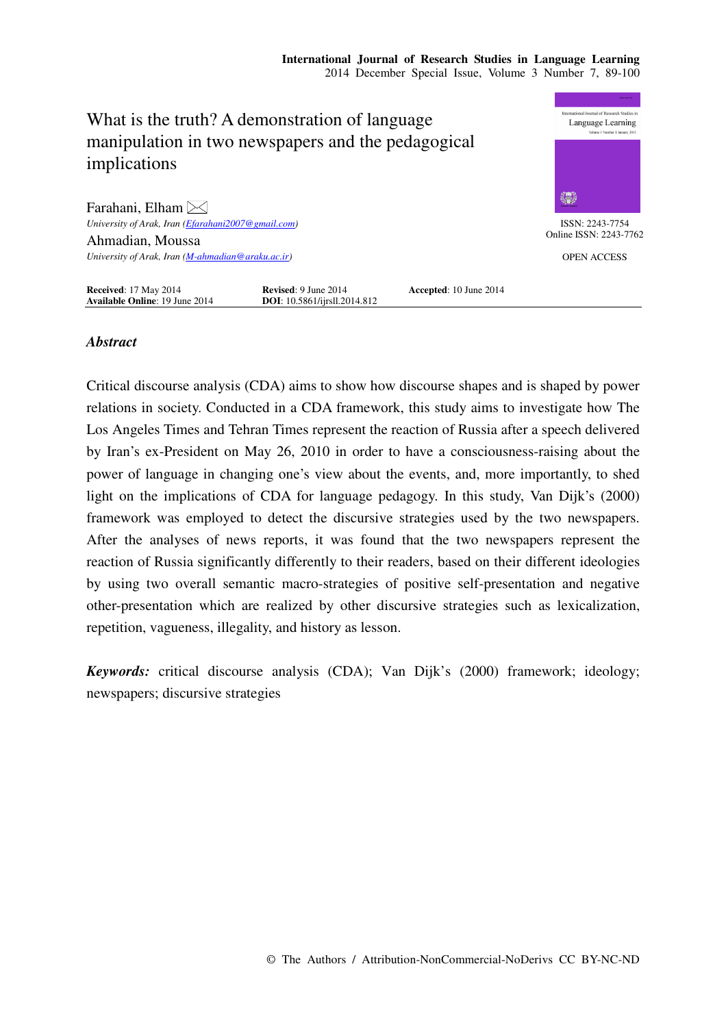

# *Abstract*

Critical discourse analysis (CDA) aims to show how discourse shapes and is shaped by power relations in society. Conducted in a CDA framework, this study aims to investigate how The Los Angeles Times and Tehran Times represent the reaction of Russia after a speech delivered by Iran's ex-President on May 26, 2010 in order to have a consciousness-raising about the power of language in changing one's view about the events, and, more importantly, to shed light on the implications of CDA for language pedagogy. In this study, Van Dijk's (2000) framework was employed to detect the discursive strategies used by the two newspapers. After the analyses of news reports, it was found that the two newspapers represent the reaction of Russia significantly differently to their readers, based on their different ideologies by using two overall semantic macro-strategies of positive self-presentation and negative other-presentation which are realized by other discursive strategies such as lexicalization, repetition, vagueness, illegality, and history as lesson.

*Keywords:* critical discourse analysis (CDA); Van Dijk's (2000) framework; ideology; newspapers; discursive strategies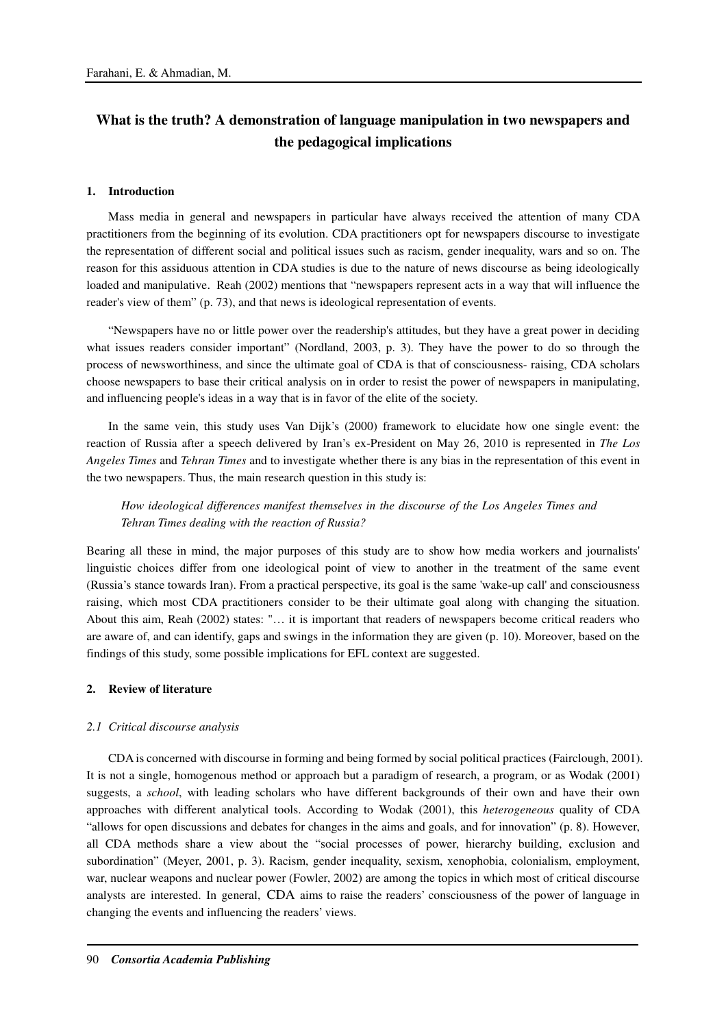# **What is the truth? A demonstration of language manipulation in two newspapers and the pedagogical implications**

#### **1. Introduction**

Mass media in general and newspapers in particular have always received the attention of many CDA practitioners from the beginning of its evolution. CDA practitioners opt for newspapers discourse to investigate the representation of different social and political issues such as racism, gender inequality, wars and so on. The reason for this assiduous attention in CDA studies is due to the nature of news discourse as being ideologically loaded and manipulative. Reah (2002) mentions that "newspapers represent acts in a way that will influence the reader's view of them" (p. 73), and that news is ideological representation of events.

"Newspapers have no or little power over the readership's attitudes, but they have a great power in deciding what issues readers consider important" (Nordland, 2003, p. 3). They have the power to do so through the process of newsworthiness, and since the ultimate goal of CDA is that of consciousness- raising, CDA scholars choose newspapers to base their critical analysis on in order to resist the power of newspapers in manipulating, and influencing people's ideas in a way that is in favor of the elite of the society.

In the same vein, this study uses Van Dijk's (2000) framework to elucidate how one single event: the reaction of Russia after a speech delivered by Iran's ex-President on May 26, 2010 is represented in *The Los Angeles Times* and *Tehran Times* and to investigate whether there is any bias in the representation of this event in the two newspapers. Thus, the main research question in this study is:

*How ideological differences manifest themselves in the discourse of the Los Angeles Times and Tehran Times dealing with the reaction of Russia?* 

Bearing all these in mind, the major purposes of this study are to show how media workers and journalists' linguistic choices differ from one ideological point of view to another in the treatment of the same event (Russia's stance towards Iran). From a practical perspective, its goal is the same 'wake-up call' and consciousness raising, which most CDA practitioners consider to be their ultimate goal along with changing the situation. About this aim, Reah (2002) states: "… it is important that readers of newspapers become critical readers who are aware of, and can identify, gaps and swings in the information they are given (p. 10). Moreover, based on the findings of this study, some possible implications for EFL context are suggested.

# **2. Review of literature**

#### *2.1 Critical discourse analysis*

CDA is concerned with discourse in forming and being formed by social political practices (Fairclough, 2001). It is not a single, homogenous method or approach but a paradigm of research, a program, or as Wodak (2001) suggests, a *school*, with leading scholars who have different backgrounds of their own and have their own approaches with different analytical tools. According to Wodak (2001), this *heterogeneous* quality of CDA "allows for open discussions and debates for changes in the aims and goals, and for innovation" (p. 8). However, all CDA methods share a view about the "social processes of power, hierarchy building, exclusion and subordination" (Meyer, 2001, p. 3). Racism, gender inequality, sexism, xenophobia, colonialism, employment, war, nuclear weapons and nuclear power (Fowler, 2002) are among the topics in which most of critical discourse analysts are interested. In general, CDA aims to raise the readers' consciousness of the power of language in changing the events and influencing the readers' views.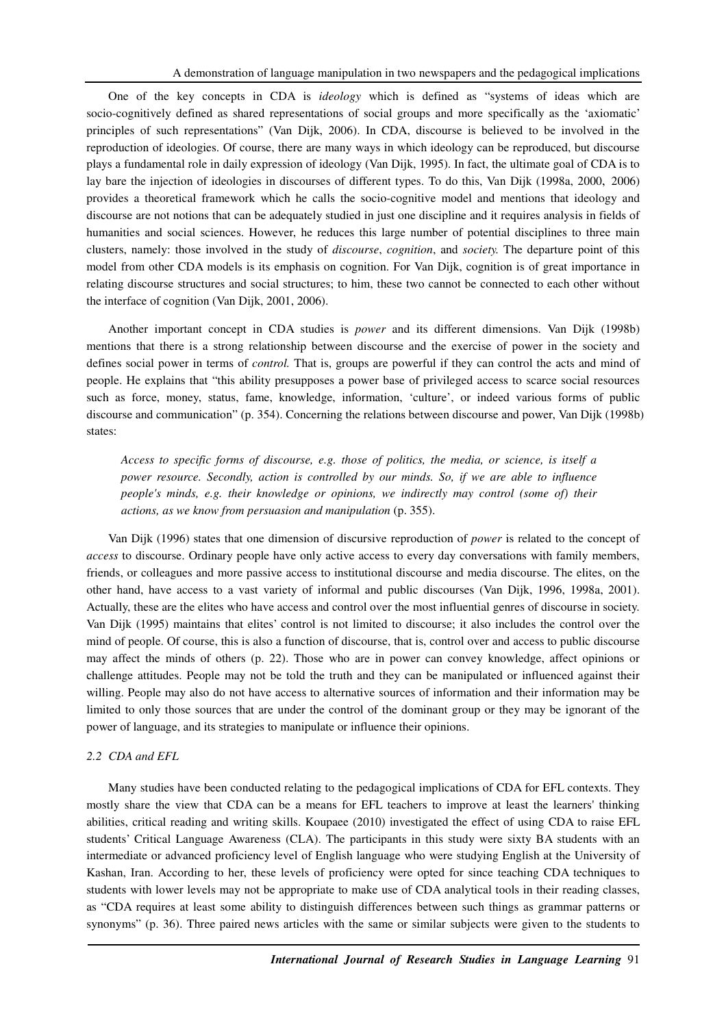One of the key concepts in CDA is *ideology* which is defined as "systems of ideas which are socio-cognitively defined as shared representations of social groups and more specifically as the 'axiomatic' principles of such representations" (Van Dijk, 2006). In CDA, discourse is believed to be involved in the reproduction of ideologies. Of course, there are many ways in which ideology can be reproduced, but discourse plays a fundamental role in daily expression of ideology (Van Dijk, 1995). In fact, the ultimate goal of CDA is to lay bare the injection of ideologies in discourses of different types. To do this, Van Dijk (1998a, 2000, 2006) provides a theoretical framework which he calls the socio-cognitive model and mentions that ideology and discourse are not notions that can be adequately studied in just one discipline and it requires analysis in fields of humanities and social sciences. However, he reduces this large number of potential disciplines to three main clusters, namely: those involved in the study of *discourse*, *cognition*, and *society.* The departure point of this model from other CDA models is its emphasis on cognition. For Van Dijk, cognition is of great importance in relating discourse structures and social structures; to him, these two cannot be connected to each other without the interface of cognition (Van Dijk, 2001, 2006).

Another important concept in CDA studies is *power* and its different dimensions. Van Dijk (1998b) mentions that there is a strong relationship between discourse and the exercise of power in the society and defines social power in terms of *control.* That is, groups are powerful if they can control the acts and mind of people. He explains that "this ability presupposes a power base of privileged access to scarce social resources such as force, money, status, fame, knowledge, information, 'culture', or indeed various forms of public discourse and communication" (p. 354). Concerning the relations between discourse and power, Van Dijk (1998b) states:

*Access to specific forms of discourse, e.g. those of politics, the media, or science, is itself a power resource. Secondly, action is controlled by our minds. So, if we are able to influence people's minds, e.g. their knowledge or opinions, we indirectly may control (some of) their actions, as we know from persuasion and manipulation* (p. 355).

Van Dijk (1996) states that one dimension of discursive reproduction of *power* is related to the concept of *access* to discourse. Ordinary people have only active access to every day conversations with family members, friends, or colleagues and more passive access to institutional discourse and media discourse. The elites, on the other hand, have access to a vast variety of informal and public discourses (Van Dijk, 1996, 1998a, 2001). Actually, these are the elites who have access and control over the most influential genres of discourse in society. Van Dijk (1995) maintains that elites' control is not limited to discourse; it also includes the control over the mind of people. Of course, this is also a function of discourse, that is, control over and access to public discourse may affect the minds of others (p. 22). Those who are in power can convey knowledge, affect opinions or challenge attitudes. People may not be told the truth and they can be manipulated or influenced against their willing. People may also do not have access to alternative sources of information and their information may be limited to only those sources that are under the control of the dominant group or they may be ignorant of the power of language, and its strategies to manipulate or influence their opinions.

#### *2.2 CDA and EFL*

Many studies have been conducted relating to the pedagogical implications of CDA for EFL contexts. They mostly share the view that CDA can be a means for EFL teachers to improve at least the learners' thinking abilities, critical reading and writing skills. Koupaee (2010) investigated the effect of using CDA to raise EFL students' Critical Language Awareness (CLA). The participants in this study were sixty BA students with an intermediate or advanced proficiency level of English language who were studying English at the University of Kashan, Iran. According to her, these levels of proficiency were opted for since teaching CDA techniques to students with lower levels may not be appropriate to make use of CDA analytical tools in their reading classes, as "CDA requires at least some ability to distinguish differences between such things as grammar patterns or synonyms" (p. 36). Three paired news articles with the same or similar subjects were given to the students to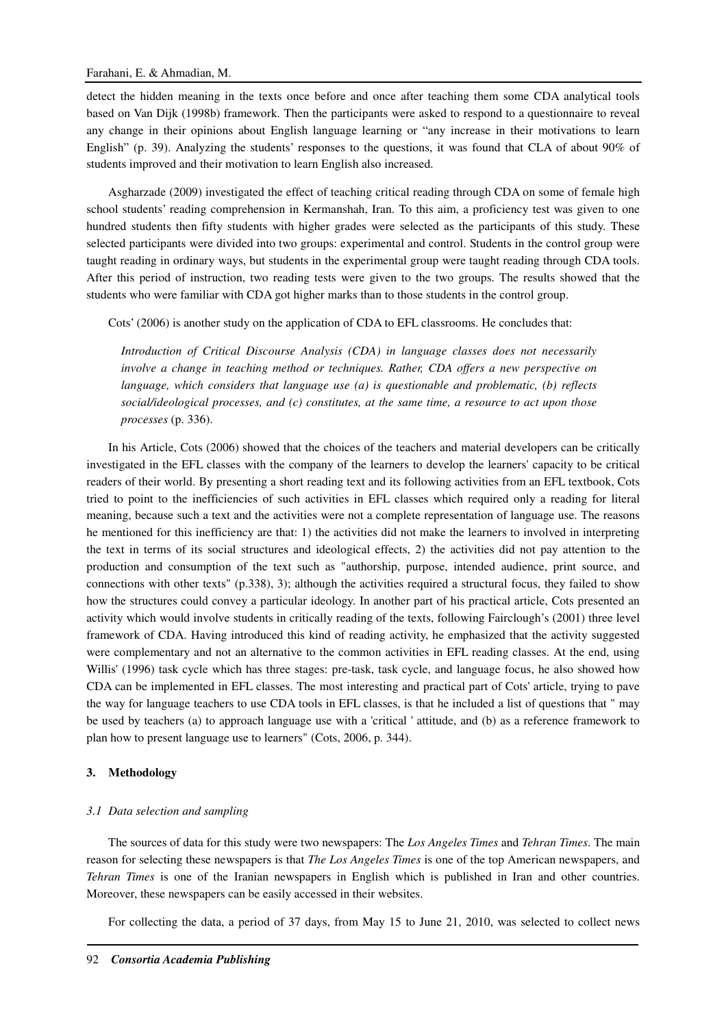detect the hidden meaning in the texts once before and once after teaching them some CDA analytical tools based on Van Dijk (1998b) framework. Then the participants were asked to respond to a questionnaire to reveal any change in their opinions about English language learning or "any increase in their motivations to learn English" (p. 39). Analyzing the students' responses to the questions, it was found that CLA of about 90% of students improved and their motivation to learn English also increased.

Asgharzade (2009) investigated the effect of teaching critical reading through CDA on some of female high school students' reading comprehension in Kermanshah, Iran. To this aim, a proficiency test was given to one hundred students then fifty students with higher grades were selected as the participants of this study. These selected participants were divided into two groups: experimental and control. Students in the control group were taught reading in ordinary ways, but students in the experimental group were taught reading through CDA tools. After this period of instruction, two reading tests were given to the two groups. The results showed that the students who were familiar with CDA got higher marks than to those students in the control group.

Cots' (2006) is another study on the application of CDA to EFL classrooms. He concludes that:

*Introduction of Critical Discourse Analysis (CDA) in language classes does not necessarily involve a change in teaching method or techniques. Rather, CDA offers a new perspective on language, which considers that language use (a) is questionable and problematic, (b) reflects social/ideological processes, and (c) constitutes, at the same time, a resource to act upon those processes* (p. 336).

In his Article, Cots (2006) showed that the choices of the teachers and material developers can be critically investigated in the EFL classes with the company of the learners to develop the learners' capacity to be critical readers of their world. By presenting a short reading text and its following activities from an EFL textbook, Cots tried to point to the inefficiencies of such activities in EFL classes which required only a reading for literal meaning, because such a text and the activities were not a complete representation of language use. The reasons he mentioned for this inefficiency are that: 1) the activities did not make the learners to involved in interpreting the text in terms of its social structures and ideological effects, 2) the activities did not pay attention to the production and consumption of the text such as "authorship, purpose, intended audience, print source, and connections with other texts" (p.338), 3); although the activities required a structural focus, they failed to show how the structures could convey a particular ideology. In another part of his practical article, Cots presented an activity which would involve students in critically reading of the texts, following Fairclough's (2001) three level framework of CDA. Having introduced this kind of reading activity, he emphasized that the activity suggested were complementary and not an alternative to the common activities in EFL reading classes. At the end, using Willis' (1996) task cycle which has three stages: pre-task, task cycle, and language focus, he also showed how CDA can be implemented in EFL classes. The most interesting and practical part of Cots' article, trying to pave the way for language teachers to use CDA tools in EFL classes, is that he included a list of questions that " may be used by teachers (a) to approach language use with a 'critical ' attitude, and (b) as a reference framework to plan how to present language use to learners" (Cots, 2006, p. 344).

## **3. Methodology**

## *3.1 Data selection and sampling*

The sources of data for this study were two newspapers: The *Los Angeles Times* and *Tehran Times*. The main reason for selecting these newspapers is that *The Los Angeles Times* is one of the top American newspapers, and *Tehran Times* is one of the Iranian newspapers in English which is published in Iran and other countries. Moreover, these newspapers can be easily accessed in their websites.

For collecting the data, a period of 37 days, from May 15 to June 21, 2010, was selected to collect news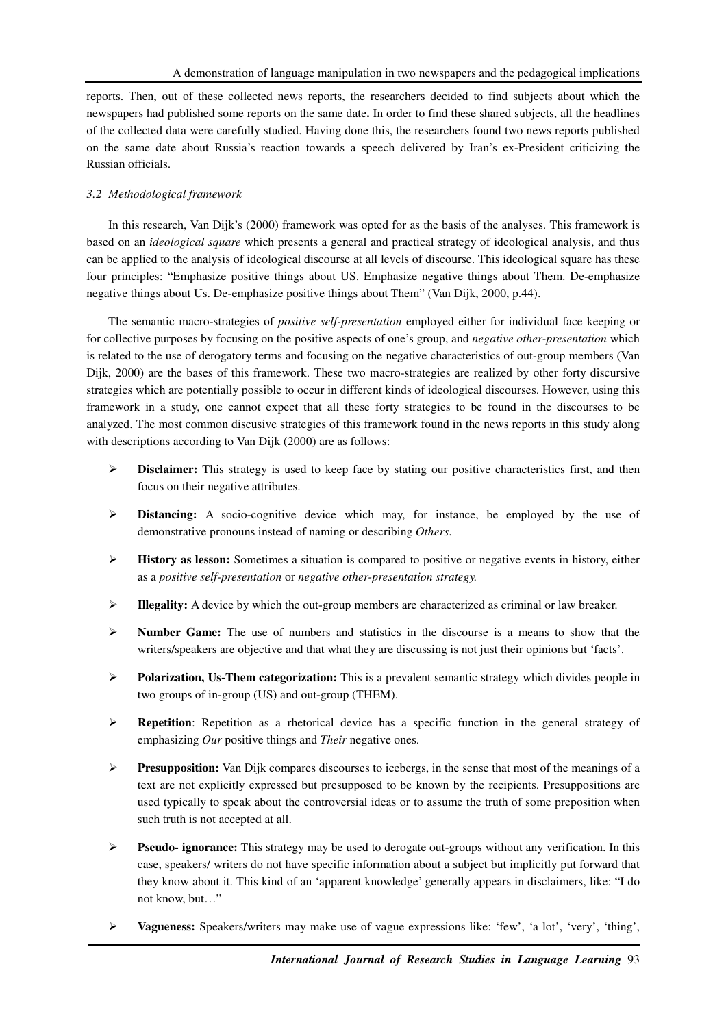reports. Then, out of these collected news reports, the researchers decided to find subjects about which the newspapers had published some reports on the same date**.** In order to find these shared subjects, all the headlines of the collected data were carefully studied. Having done this, the researchers found two news reports published on the same date about Russia's reaction towards a speech delivered by Iran's ex-President criticizing the Russian officials.

# *3.2 Methodological framework*

In this research, Van Dijk's (2000) framework was opted for as the basis of the analyses. This framework is based on an *ideological square* which presents a general and practical strategy of ideological analysis, and thus can be applied to the analysis of ideological discourse at all levels of discourse. This ideological square has these four principles: "Emphasize positive things about US. Emphasize negative things about Them. De-emphasize negative things about Us. De-emphasize positive things about Them" (Van Dijk, 2000, p.44).

The semantic macro-strategies of *positive self-presentation* employed either for individual face keeping or for collective purposes by focusing on the positive aspects of one's group, and *negative other-presentation* which is related to the use of derogatory terms and focusing on the negative characteristics of out-group members (Van Dijk, 2000) are the bases of this framework. These two macro-strategies are realized by other forty discursive strategies which are potentially possible to occur in different kinds of ideological discourses. However, using this framework in a study, one cannot expect that all these forty strategies to be found in the discourses to be analyzed. The most common discusive strategies of this framework found in the news reports in this study along with descriptions according to Van Dijk (2000) are as follows:

- **Disclaimer:** This strategy is used to keep face by stating our positive characteristics first, and then focus on their negative attributes.
- **Distancing:** A socio-cognitive device which may, for instance, be employed by the use of demonstrative pronouns instead of naming or describing *Others*.
- **History as lesson:** Sometimes a situation is compared to positive or negative events in history, either as a *positive self-presentation* or *negative other-presentation strategy.*
- **Illegality:** A device by which the out-group members are characterized as criminal or law breaker.
- **Number Game:** The use of numbers and statistics in the discourse is a means to show that the writers/speakers are objective and that what they are discussing is not just their opinions but 'facts'.
- **Polarization, Us-Them categorization:** This is a prevalent semantic strategy which divides people in two groups of in-group (US) and out-group (THEM).
- **Repetition:** Repetition as a rhetorical device has a specific function in the general strategy of emphasizing *Our* positive things and *Their* negative ones.
- **Presupposition:** Van Dijk compares discourses to icebergs, in the sense that most of the meanings of a text are not explicitly expressed but presupposed to be known by the recipients. Presuppositions are used typically to speak about the controversial ideas or to assume the truth of some preposition when such truth is not accepted at all.
- **Pseudo- ignorance:** This strategy may be used to derogate out-groups without any verification. In this case, speakers/ writers do not have specific information about a subject but implicitly put forward that they know about it. This kind of an 'apparent knowledge' generally appears in disclaimers, like: "I do not know, but…"
- **Vagueness:** Speakers/writers may make use of vague expressions like: 'few', 'a lot', 'very', 'thing',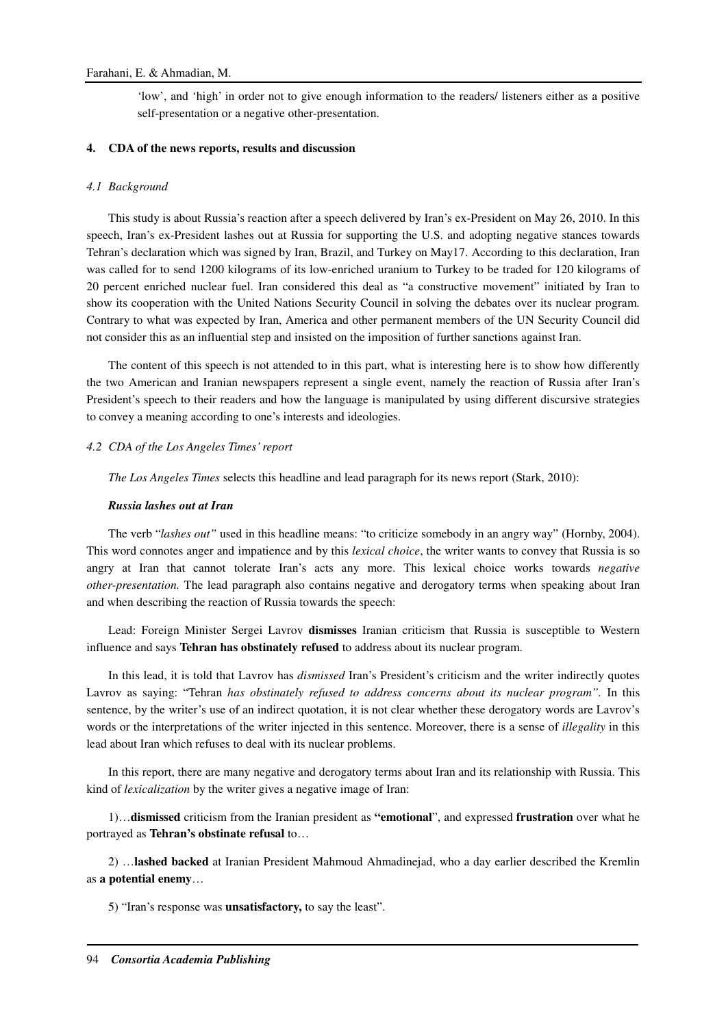'low', and 'high' in order not to give enough information to the readers/ listeners either as a positive self-presentation or a negative other-presentation.

## **4. CDA of the news reports, results and discussion**

## *4.1 Background*

This study is about Russia's reaction after a speech delivered by Iran's ex-President on May 26, 2010. In this speech, Iran's ex-President lashes out at Russia for supporting the U.S. and adopting negative stances towards Tehran's declaration which was signed by Iran, Brazil, and Turkey on May17. According to this declaration, Iran was called for to send 1200 kilograms of its low-enriched uranium to Turkey to be traded for 120 kilograms of 20 percent enriched nuclear fuel. Iran considered this deal as "a constructive movement" initiated by Iran to show its cooperation with the United Nations Security Council in solving the debates over its nuclear program. Contrary to what was expected by Iran, America and other permanent members of the UN Security Council did not consider this as an influential step and insisted on the imposition of further sanctions against Iran.

The content of this speech is not attended to in this part, what is interesting here is to show how differently the two American and Iranian newspapers represent a single event, namely the reaction of Russia after Iran's President's speech to their readers and how the language is manipulated by using different discursive strategies to convey a meaning according to one's interests and ideologies.

## *4.2 CDA of the Los Angeles Times' report*

*The Los Angeles Times* selects this headline and lead paragraph for its news report (Stark, 2010):

## *Russia lashes out at Iran*

The verb "*lashes out"* used in this headline means: "to criticize somebody in an angry way" (Hornby, 2004). This word connotes anger and impatience and by this *lexical choice*, the writer wants to convey that Russia is so angry at Iran that cannot tolerate Iran's acts any more. This lexical choice works towards *negative other-presentation.* The lead paragraph also contains negative and derogatory terms when speaking about Iran and when describing the reaction of Russia towards the speech:

Lead: Foreign Minister Sergei Lavrov **dismisses** Iranian criticism that Russia is susceptible to Western influence and says **Tehran has obstinately refused** to address about its nuclear program.

In this lead, it is told that Lavrov has *dismissed* Iran's President's criticism and the writer indirectly quotes Lavrov as saying: "Tehran *has obstinately refused to address concerns about its nuclear program".* In this sentence, by the writer's use of an indirect quotation, it is not clear whether these derogatory words are Lavrov's words or the interpretations of the writer injected in this sentence. Moreover, there is a sense of *illegality* in this lead about Iran which refuses to deal with its nuclear problems.

In this report, there are many negative and derogatory terms about Iran and its relationship with Russia. This kind of *lexicalization* by the writer gives a negative image of Iran:

1)…**dismissed** criticism from the Iranian president as **"emotional**", and expressed **frustration** over what he portrayed as **Tehran's obstinate refusal** to…

2) …**lashed backed** at Iranian President Mahmoud Ahmadinejad, who a day earlier described the Kremlin as **a potential enemy**…

5) "Iran's response was **unsatisfactory,** to say the least".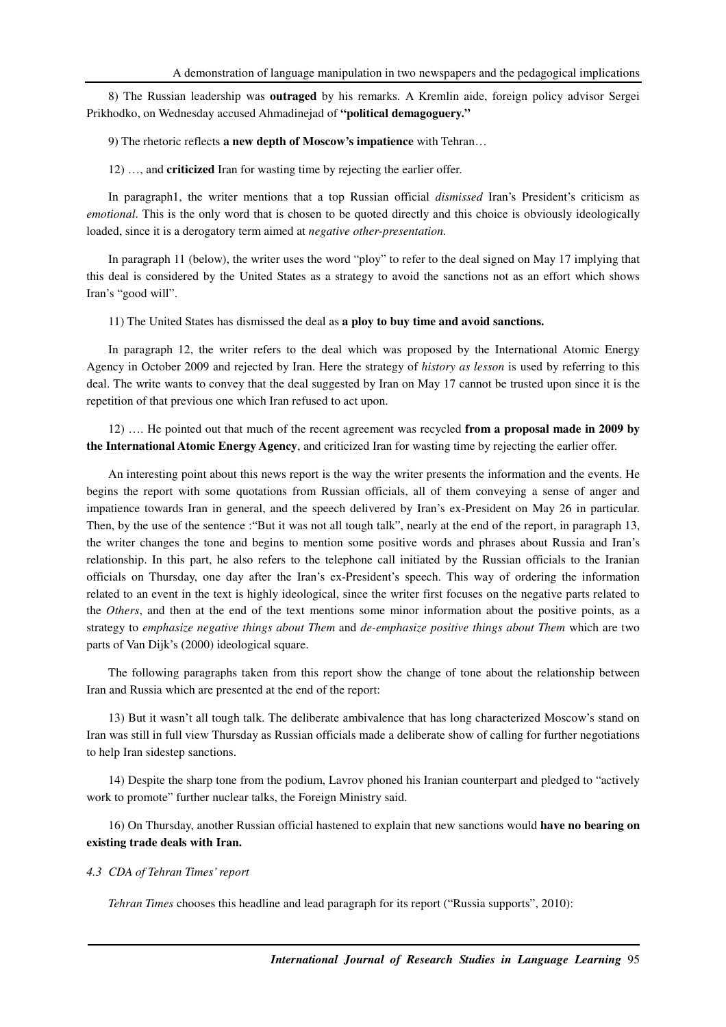8) The Russian leadership was **outraged** by his remarks. A Kremlin aide, foreign policy advisor Sergei Prikhodko, on Wednesday accused Ahmadinejad of **"political demagoguery."**

9) The rhetoric reflects **a new depth of Moscow's impatience** with Tehran…

12) …, and **criticized** Iran for wasting time by rejecting the earlier offer.

In paragraph1, the writer mentions that a top Russian official *dismissed* Iran's President's criticism as *emotional*. This is the only word that is chosen to be quoted directly and this choice is obviously ideologically loaded, since it is a derogatory term aimed at *negative other-presentation.* 

In paragraph 11 (below), the writer uses the word "ploy" to refer to the deal signed on May 17 implying that this deal is considered by the United States as a strategy to avoid the sanctions not as an effort which shows Iran's "good will".

11) The United States has dismissed the deal as **a ploy to buy time and avoid sanctions.** 

In paragraph 12, the writer refers to the deal which was proposed by the International Atomic Energy Agency in October 2009 and rejected by Iran. Here the strategy of *history as lesson* is used by referring to this deal. The write wants to convey that the deal suggested by Iran on May 17 cannot be trusted upon since it is the repetition of that previous one which Iran refused to act upon.

12) …. He pointed out that much of the recent agreement was recycled **from a proposal made in 2009 by the International Atomic Energy Agency**, and criticized Iran for wasting time by rejecting the earlier offer.

An interesting point about this news report is the way the writer presents the information and the events. He begins the report with some quotations from Russian officials, all of them conveying a sense of anger and impatience towards Iran in general, and the speech delivered by Iran's ex-President on May 26 in particular. Then, by the use of the sentence :"But it was not all tough talk", nearly at the end of the report, in paragraph 13, the writer changes the tone and begins to mention some positive words and phrases about Russia and Iran's relationship. In this part, he also refers to the telephone call initiated by the Russian officials to the Iranian officials on Thursday, one day after the Iran's ex-President's speech. This way of ordering the information related to an event in the text is highly ideological, since the writer first focuses on the negative parts related to the *Others*, and then at the end of the text mentions some minor information about the positive points, as a strategy to *emphasize negative things about Them* and *de-emphasize positive things about Them* which are two parts of Van Dijk's (2000) ideological square.

The following paragraphs taken from this report show the change of tone about the relationship between Iran and Russia which are presented at the end of the report:

13) But it wasn't all tough talk. The deliberate ambivalence that has long characterized Moscow's stand on Iran was still in full view Thursday as Russian officials made a deliberate show of calling for further negotiations to help Iran sidestep sanctions.

14) Despite the sharp tone from the podium, Lavrov phoned his Iranian counterpart and pledged to "actively work to promote" further nuclear talks, the Foreign Ministry said.

16) On Thursday, another Russian official hastened to explain that new sanctions would **have no bearing on existing trade deals with Iran.** 

## *4.3 CDA of Tehran Times' report*

*Tehran Times* chooses this headline and lead paragraph for its report ("Russia supports", 2010):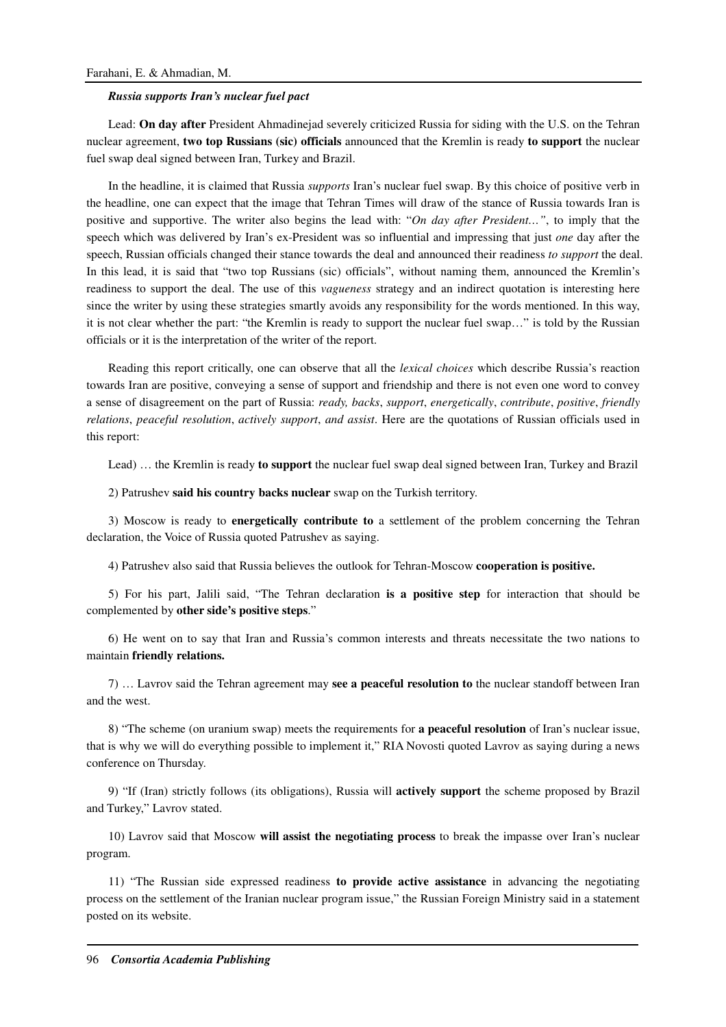## *Russia supports Iran's nuclear fuel pact*

Lead: **On day after** President Ahmadinejad severely criticized Russia for siding with the U.S. on the Tehran nuclear agreement, **two top Russians (sic) officials** announced that the Kremlin is ready **to support** the nuclear fuel swap deal signed between Iran, Turkey and Brazil.

In the headline, it is claimed that Russia *supports* Iran's nuclear fuel swap. By this choice of positive verb in the headline, one can expect that the image that Tehran Times will draw of the stance of Russia towards Iran is positive and supportive. The writer also begins the lead with: "*On day after President…"*, to imply that the speech which was delivered by Iran's ex-President was so influential and impressing that just *one* day after the speech, Russian officials changed their stance towards the deal and announced their readiness *to support* the deal. In this lead, it is said that "two top Russians (sic) officials", without naming them, announced the Kremlin's readiness to support the deal. The use of this *vagueness* strategy and an indirect quotation is interesting here since the writer by using these strategies smartly avoids any responsibility for the words mentioned. In this way, it is not clear whether the part: "the Kremlin is ready to support the nuclear fuel swap…" is told by the Russian officials or it is the interpretation of the writer of the report.

Reading this report critically, one can observe that all the *lexical choices* which describe Russia's reaction towards Iran are positive, conveying a sense of support and friendship and there is not even one word to convey a sense of disagreement on the part of Russia: *ready, backs*, *support*, *energetically*, *contribute*, *positive*, *friendly relations*, *peaceful resolution*, *actively support*, *and assist*. Here are the quotations of Russian officials used in this report:

Lead) … the Kremlin is ready **to support** the nuclear fuel swap deal signed between Iran, Turkey and Brazil

2) Patrushev **said his country backs nuclear** swap on the Turkish territory.

3) Moscow is ready to **energetically contribute to** a settlement of the problem concerning the Tehran declaration, the Voice of Russia quoted Patrushev as saying.

4) Patrushev also said that Russia believes the outlook for Tehran-Moscow **cooperation is positive.** 

5) For his part, Jalili said, "The Tehran declaration **is a positive step** for interaction that should be complemented by **other side's positive steps**."

6) He went on to say that Iran and Russia's common interests and threats necessitate the two nations to maintain **friendly relations.**

7) … Lavrov said the Tehran agreement may **see a peaceful resolution to** the nuclear standoff between Iran and the west.

8) "The scheme (on uranium swap) meets the requirements for **a peaceful resolution** of Iran's nuclear issue, that is why we will do everything possible to implement it," RIA Novosti quoted Lavrov as saying during a news conference on Thursday.

9) "If (Iran) strictly follows (its obligations), Russia will **actively support** the scheme proposed by Brazil and Turkey," Lavrov stated.

10) Lavrov said that Moscow **will assist the negotiating process** to break the impasse over Iran's nuclear program.

11) "The Russian side expressed readiness **to provide active assistance** in advancing the negotiating process on the settlement of the Iranian nuclear program issue," the Russian Foreign Ministry said in a statement posted on its website.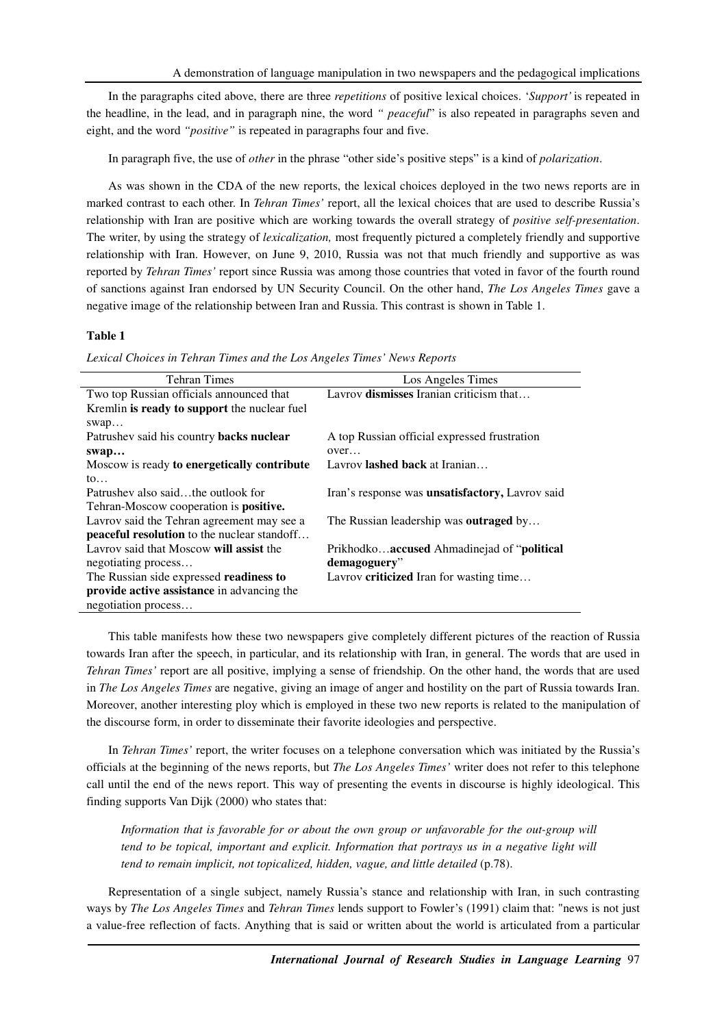In the paragraphs cited above, there are three *repetitions* of positive lexical choices. '*Support'* is repeated in the headline, in the lead, and in paragraph nine, the word *" peaceful*" is also repeated in paragraphs seven and eight, and the word *"positive"* is repeated in paragraphs four and five.

In paragraph five, the use of *other* in the phrase "other side's positive steps" is a kind of *polarization*.

As was shown in the CDA of the new reports, the lexical choices deployed in the two news reports are in marked contrast to each other. In *Tehran Times'* report, all the lexical choices that are used to describe Russia's relationship with Iran are positive which are working towards the overall strategy of *positive self-presentation*. The writer, by using the strategy of *lexicalization,* most frequently pictured a completely friendly and supportive relationship with Iran. However, on June 9, 2010, Russia was not that much friendly and supportive as was reported by *Tehran Times'* report since Russia was among those countries that voted in favor of the fourth round of sanctions against Iran endorsed by UN Security Council. On the other hand, *The Los Angeles Times* gave a negative image of the relationship between Iran and Russia. This contrast is shown in Table 1.

#### **Table 1**

*Lexical Choices in Tehran Times and the Los Angeles Times' News Reports* 

| <b>Tehran Times</b>                                | Los Angeles Times                                       |
|----------------------------------------------------|---------------------------------------------------------|
| Two top Russian officials announced that           | Lavrov dismisses Iranian criticism that                 |
| Kremlin is ready to support the nuclear fuel       |                                                         |
| swap                                               |                                                         |
| Patrushev said his country backs nuclear           | A top Russian official expressed frustration            |
| swap                                               | over                                                    |
| Moscow is ready to energetically contribute        | Lavrov <b>lashed back</b> at Iranian                    |
| $\mathfrak{g}_{0}$                                 |                                                         |
| Patrushev also saidthe outlook for                 | Iran's response was <b>unsatisfactory</b> , Lavrov said |
| Tehran-Moscow cooperation is <b>positive.</b>      |                                                         |
| Lavrov said the Tehran agreement may see a         | The Russian leadership was <b>outraged</b> by           |
| <b>peaceful resolution</b> to the nuclear standoff |                                                         |
| Lavrov said that Moscow will assist the            | Prikhodkoaccused Ahmadinejad of "political"             |
| negotiating process                                | demagoguery"                                            |
| The Russian side expressed readiness to            | Lavrov <b>criticized</b> Iran for wasting time          |
| provide active assistance in advancing the         |                                                         |
| negotiation process                                |                                                         |

This table manifests how these two newspapers give completely different pictures of the reaction of Russia towards Iran after the speech, in particular, and its relationship with Iran, in general. The words that are used in *Tehran Times'* report are all positive, implying a sense of friendship. On the other hand, the words that are used in *The Los Angeles Times* are negative, giving an image of anger and hostility on the part of Russia towards Iran. Moreover, another interesting ploy which is employed in these two new reports is related to the manipulation of the discourse form, in order to disseminate their favorite ideologies and perspective.

In *Tehran Times'* report, the writer focuses on a telephone conversation which was initiated by the Russia's officials at the beginning of the news reports, but *The Los Angeles Times'* writer does not refer to this telephone call until the end of the news report. This way of presenting the events in discourse is highly ideological. This finding supports Van Dijk (2000) who states that:

*Information that is favorable for or about the own group or unfavorable for the out-group will tend to be topical, important and explicit. Information that portrays us in a negative light will tend to remain implicit, not topicalized, hidden, vague, and little detailed* (p.78).

Representation of a single subject, namely Russia's stance and relationship with Iran, in such contrasting ways by *The Los Angeles Times* and *Tehran Times* lends support to Fowler's (1991) claim that: "news is not just a value-free reflection of facts. Anything that is said or written about the world is articulated from a particular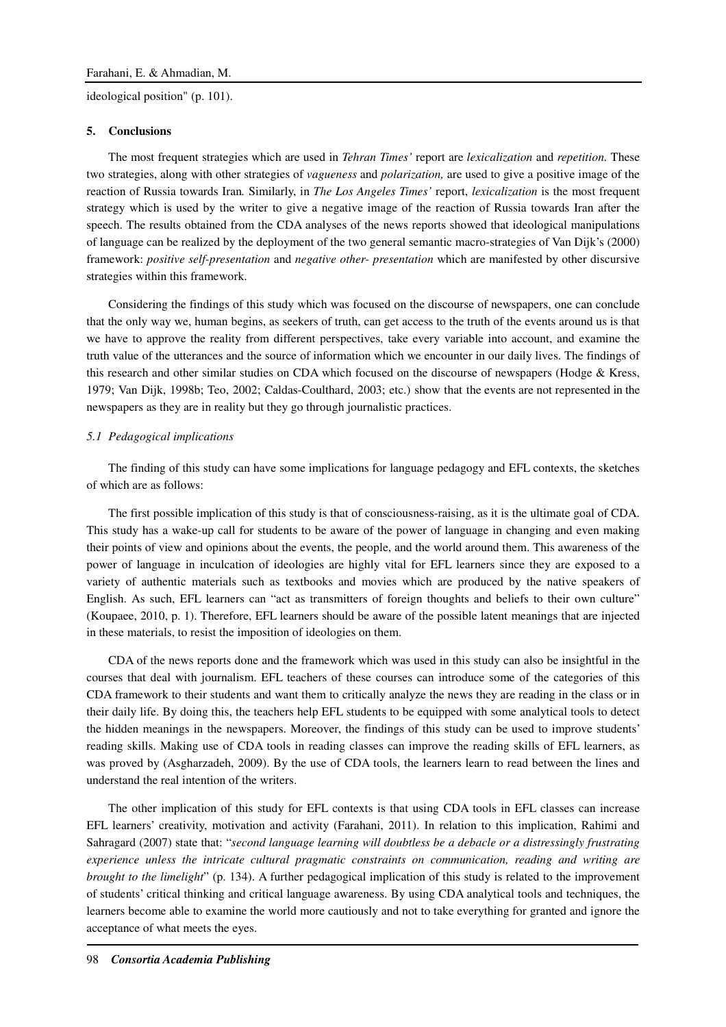ideological position" (p. 101).

#### **5. Conclusions**

The most frequent strategies which are used in *Tehran Times'* report are *lexicalization* and *repetition.* These two strategies, along with other strategies of *vagueness* and *polarization,* are used to give a positive image of the reaction of Russia towards Iran*.* Similarly, in *The Los Angeles Times'* report, *lexicalization* is the most frequent strategy which is used by the writer to give a negative image of the reaction of Russia towards Iran after the speech. The results obtained from the CDA analyses of the news reports showed that ideological manipulations of language can be realized by the deployment of the two general semantic macro-strategies of Van Dijk's (2000) framework: *positive self-presentation* and *negative other- presentation* which are manifested by other discursive strategies within this framework.

Considering the findings of this study which was focused on the discourse of newspapers, one can conclude that the only way we, human begins, as seekers of truth, can get access to the truth of the events around us is that we have to approve the reality from different perspectives, take every variable into account, and examine the truth value of the utterances and the source of information which we encounter in our daily lives. The findings of this research and other similar studies on CDA which focused on the discourse of newspapers (Hodge & Kress, 1979; Van Dijk, 1998b; Teo, 2002; Caldas-Coulthard, 2003; etc.) show that the events are not represented in the newspapers as they are in reality but they go through journalistic practices.

## *5.1 Pedagogical implications*

The finding of this study can have some implications for language pedagogy and EFL contexts, the sketches of which are as follows:

The first possible implication of this study is that of consciousness-raising, as it is the ultimate goal of CDA. This study has a wake-up call for students to be aware of the power of language in changing and even making their points of view and opinions about the events, the people, and the world around them. This awareness of the power of language in inculcation of ideologies are highly vital for EFL learners since they are exposed to a variety of authentic materials such as textbooks and movies which are produced by the native speakers of English. As such, EFL learners can "act as transmitters of foreign thoughts and beliefs to their own culture" (Koupaee, 2010, p. 1). Therefore, EFL learners should be aware of the possible latent meanings that are injected in these materials, to resist the imposition of ideologies on them.

CDA of the news reports done and the framework which was used in this study can also be insightful in the courses that deal with journalism. EFL teachers of these courses can introduce some of the categories of this CDA framework to their students and want them to critically analyze the news they are reading in the class or in their daily life. By doing this, the teachers help EFL students to be equipped with some analytical tools to detect the hidden meanings in the newspapers. Moreover, the findings of this study can be used to improve students' reading skills. Making use of CDA tools in reading classes can improve the reading skills of EFL learners, as was proved by (Asgharzadeh, 2009). By the use of CDA tools, the learners learn to read between the lines and understand the real intention of the writers.

The other implication of this study for EFL contexts is that using CDA tools in EFL classes can increase EFL learners' creativity, motivation and activity (Farahani, 2011). In relation to this implication, Rahimi and Sahragard (2007) state that: "*second language learning will doubtless be a debacle or a distressingly frustrating experience unless the intricate cultural pragmatic constraints on communication, reading and writing are brought to the limelight*" (p. 134). A further pedagogical implication of this study is related to the improvement of students' critical thinking and critical language awareness. By using CDA analytical tools and techniques, the learners become able to examine the world more cautiously and not to take everything for granted and ignore the acceptance of what meets the eyes.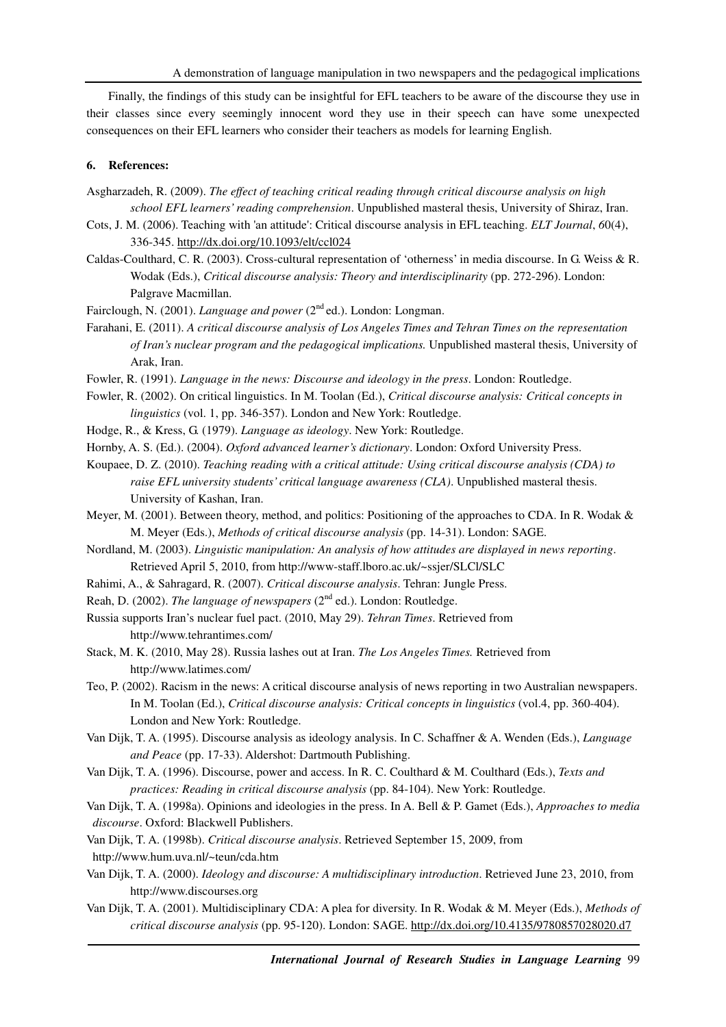Finally, the findings of this study can be insightful for EFL teachers to be aware of the discourse they use in their classes since every seemingly innocent word they use in their speech can have some unexpected consequences on their EFL learners who consider their teachers as models for learning English.

## **6. References:**

- Asgharzadeh, R. (2009). *The effect of teaching critical reading through critical discourse analysis on high school EFL learners' reading comprehension*. Unpublished masteral thesis, University of Shiraz, Iran.
- Cots, J. M. (2006). Teaching with 'an attitude': Critical discourse analysis in EFL teaching. *ELT Journal*, *6*0(4), 336-345. http://dx.doi.org/10.1093/elt/ccl024
- Caldas-Coulthard, C. R. (2003). Cross-cultural representation of 'otherness' in media discourse. In G. Weiss & R. Wodak (Eds.), *Critical discourse analysis: Theory and interdisciplinarity* (pp. 272-296). London: Palgrave Macmillan.
- Fairclough, N. (2001). *Language and power* (2<sup>nd</sup> ed.). London: Longman.
- Farahani, E. (2011). *A critical discourse analysis of Los Angeles Times and Tehran Times on the representation of Iran's nuclear program and the pedagogical implications.* Unpublished masteral thesis, University of Arak, Iran.
- Fowler, R. (1991). *Language in the news: Discourse and ideology in the press*. London: Routledge.
- Fowler, R. (2002). On critical linguistics. In M. Toolan (Ed.), *Critical discourse analysis: Critical concepts in linguistics* (vol. 1, pp. 346-357). London and New York: Routledge.
- Hodge, R., & Kress, G. (1979). *Language as ideology*. New York: Routledge.
- Hornby, A. S. (Ed.). (2004). *Oxford advanced learner's dictionary*. London: Oxford University Press.
- Koupaee, D. Z. (2010). *Teaching reading with a critical attitude: Using critical discourse analysis (CDA) to raise EFL university students' critical language awareness (CLA)*. Unpublished masteral thesis. University of Kashan, Iran.
- Meyer, M. (2001). Between theory, method, and politics: Positioning of the approaches to CDA. In R. Wodak & M. Meyer (Eds.), *Methods of critical discourse analysis* (pp. 14-31). London: SAGE.
- Nordland, M. (2003). *Linguistic manipulation: An analysis of how attitudes are displayed in news reporting*. Retrieved April 5, 2010, from http://www-staff.lboro.ac.uk/~ssjer/SLCl/SLC
- Rahimi, A., & Sahragard, R. (2007). *Critical discourse analysis*. Tehran: Jungle Press.
- Reah, D. (2002). *The language of newspapers* ( $2<sup>nd</sup>$  ed.). London: Routledge.
- Russia supports Iran's nuclear fuel pact. (2010, May 29). *Tehran Times*. Retrieved from http://www.tehrantimes.com/
- Stack, M. K. (2010, May 28). Russia lashes out at Iran. *The Los Angeles Times.* Retrieved from http://www.latimes.com/
- Teo, P. (2002). Racism in the news: A critical discourse analysis of news reporting in two Australian newspapers. In M. Toolan (Ed.), *Critical discourse analysis: Critical concepts in linguistics* (vol.4, pp. 360-404). London and New York: Routledge.
- Van Dijk, T. A. (1995). Discourse analysis as ideology analysis. In C. Schaffner & A. Wenden (Eds.), *Language and Peace* (pp. 17-33). Aldershot: Dartmouth Publishing.
- Van Dijk, T. A. (1996). Discourse, power and access. In R. C. Coulthard & M. Coulthard (Eds.), *Texts and practices: Reading in critical discourse analysis* (pp. 84-104). New York: Routledge.
- Van Dijk, T. A. (1998a). Opinions and ideologies in the press. In A. Bell & P. Gamet (Eds.), *Approaches to media discourse*. Oxford: Blackwell Publishers.
- Van Dijk, T. A. (1998b). *Critical discourse analysis*. Retrieved September 15, 2009, from
- http://www.hum.uva.nl/~teun/cda.htm
- Van Dijk, T. A. (2000). *Ideology and discourse: A multidisciplinary introduction*. Retrieved June 23, 2010, from http://www.discourses.org
- Van Dijk, T. A. (2001). Multidisciplinary CDA: A plea for diversity. In R. Wodak & M. Meyer (Eds.), *Methods of critical discourse analysis* (pp. 95-120). London: SAGE. http://dx.doi.org/10.4135/9780857028020.d7